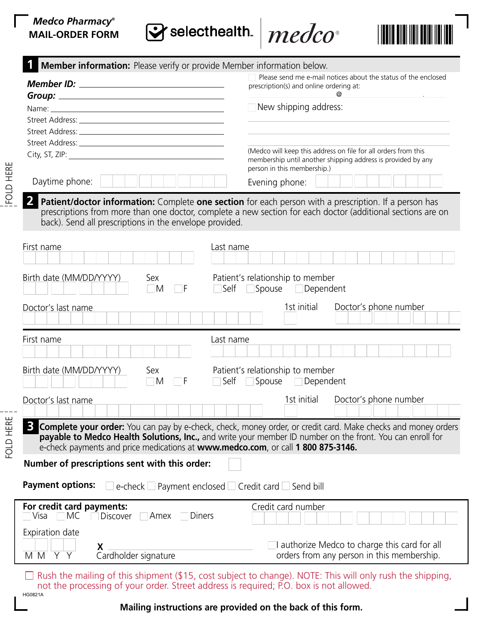## *Medco Pharmacy***® MAIL-ORDER FORM**

Sy selecthealth.





| Member information: Please verify or provide Member information below.                                                                                                                                                                                                                                                       |                                                                                                             |
|------------------------------------------------------------------------------------------------------------------------------------------------------------------------------------------------------------------------------------------------------------------------------------------------------------------------------|-------------------------------------------------------------------------------------------------------------|
|                                                                                                                                                                                                                                                                                                                              | Please send me e-mail notices about the status of the enclosed                                              |
|                                                                                                                                                                                                                                                                                                                              | prescription(s) and online ordering at:                                                                     |
|                                                                                                                                                                                                                                                                                                                              | New shipping address:                                                                                       |
|                                                                                                                                                                                                                                                                                                                              |                                                                                                             |
|                                                                                                                                                                                                                                                                                                                              |                                                                                                             |
|                                                                                                                                                                                                                                                                                                                              |                                                                                                             |
| City, ST, ZIP: North City, ST, 2004.                                                                                                                                                                                                                                                                                         | (Medco will keep this address on file for all orders from this                                              |
|                                                                                                                                                                                                                                                                                                                              | membership until another shipping address is provided by any<br>person in this membership.)                 |
| Daytime phone:                                                                                                                                                                                                                                                                                                               | Evening phone:                                                                                              |
| Patient/doctor information: Complete one section for each person with a prescription. If a person has<br>back). Send all prescriptions in the envelope provided.                                                                                                                                                             | prescriptions from more than one doctor, complete a new section for each doctor (additional sections are on |
| First name<br>Last name                                                                                                                                                                                                                                                                                                      |                                                                                                             |
| Birth date (MM/DD/YYYY)<br>Sex<br>$\Box$ M<br>٦F                                                                                                                                                                                                                                                                             | Patient's relationship to member<br>Self Spouse Dependent                                                   |
| Doctor's last name                                                                                                                                                                                                                                                                                                           | 1st initial<br>Doctor's phone number                                                                        |
| First name<br>Last name                                                                                                                                                                                                                                                                                                      |                                                                                                             |
|                                                                                                                                                                                                                                                                                                                              |                                                                                                             |
| Birth date (MM/DD/YYYY)<br>Patient's relationship to member<br>Sex<br>Self Spouse Dependent<br>$\Box$ F<br>$\Box$ M                                                                                                                                                                                                          |                                                                                                             |
| Doctor's last name                                                                                                                                                                                                                                                                                                           | 1st initial<br>Doctor's phone number                                                                        |
| <b>Complete your order:</b> You can pay by e-check, check, money order, or credit card. Make checks and money orders<br><b>payable to Medco Health Solutions, Inc.,</b> and write your member ID number on the front. You can enroll for<br>e-check payments and price medications at www.medco.com, or call 1 800 875-3146. |                                                                                                             |
| Number of prescriptions sent with this order:                                                                                                                                                                                                                                                                                |                                                                                                             |
| <b>Payment options:</b><br>e-check Payment enclosed Credit card Send bill                                                                                                                                                                                                                                                    |                                                                                                             |
| For credit card payments:<br>Diners<br> Visa<br>МC<br><b>Discover</b><br>Amex                                                                                                                                                                                                                                                | Credit card number                                                                                          |
| Expiration date<br>Χ<br>Y<br>Cardholder signature<br>M M<br>Y                                                                                                                                                                                                                                                                | $\Box$ authorize Medco to charge this card for all<br>orders from any person in this membership.            |

 $\Box$  Rush the mailing of this shipment (\$15, cost subject to change). NOTE: This will only rush the shipping, not the processing of your order. Street address is required; P.O. box is not allowed. HG0821A

**Mailing instructions are provided on the back of this form.** 

FOLD HERE

FOLD HERE

FOLD HERE

FOLD HERE